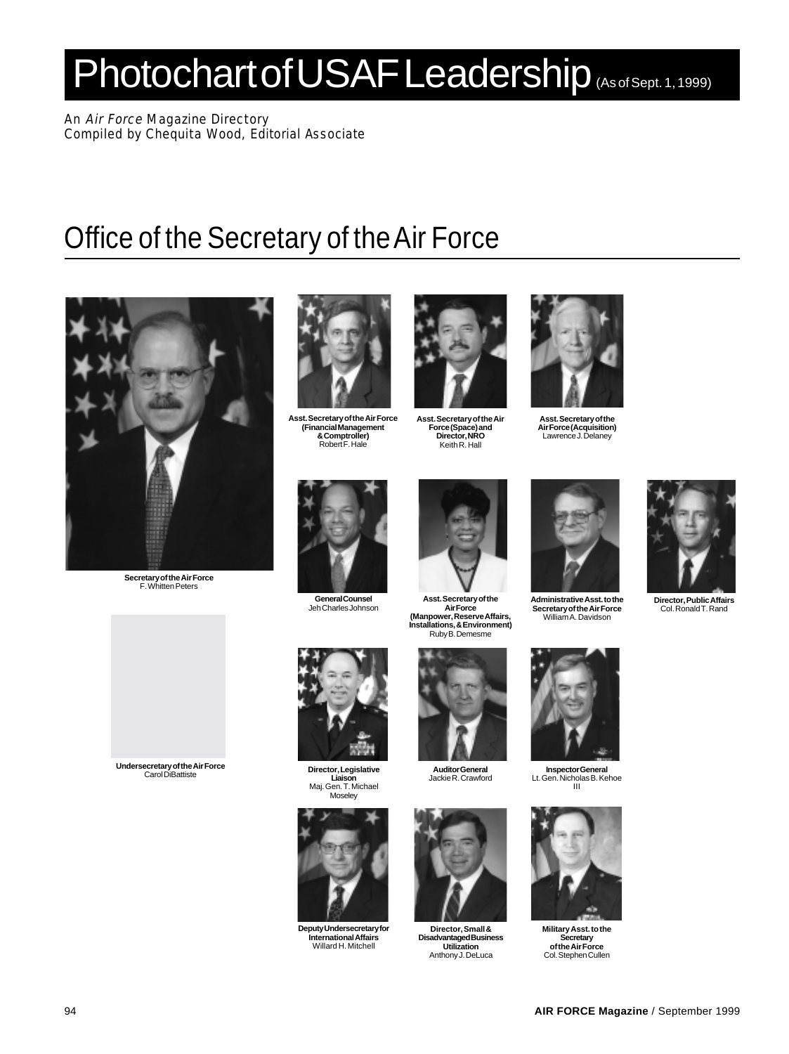# Photochart of USAF Leadership (As of Sept. 1, 1999)

An Air Force Magazine Directory Compiled by Chequita Wood, Editorial Associate

### Office of the Secretary of the Air Force



**Secretary of the Air Force** F. Whitten Peters



**Asst. Secretary of the Air Force (Financial Management & Comptroller)** Robert F. Hale



**Asst. Secretary of the Air Force (Space) and Director, NRO** Keith R. Hall



**Asst. Secretary of the Air Force (Acquisition)** Lawrence J. Delaney



**General Counsel** Jeh Charles Johnson



**Asst. Secretary of the Air Force (Manpower, Reserve Affairs, Installations, & Environment)** Ruby B. Demesme



**Administrative Asst. to the Secretary of the Air Force** William A. Davidson



**Inspector General** Lt. Gen. Nicholas B. Kehoe III



**Military Asst. to the Secretary of the Air Force** Col. Stephen Cullen



**Director, Public Affairs** Col. Ronald T. Rand



**Undersecretary of the Air Force** Carol DiBattiste



**Director, Legislative Liaison** Maj. Gen. T. Michael **Moselev** 



**Deputy Undersecretary for International Affairs** Willard H. Mitchell



**Auditor General** Jackie R. Crawford



**Director, Small & Disadvantaged Business Utilization** Anthony J. DeLuca



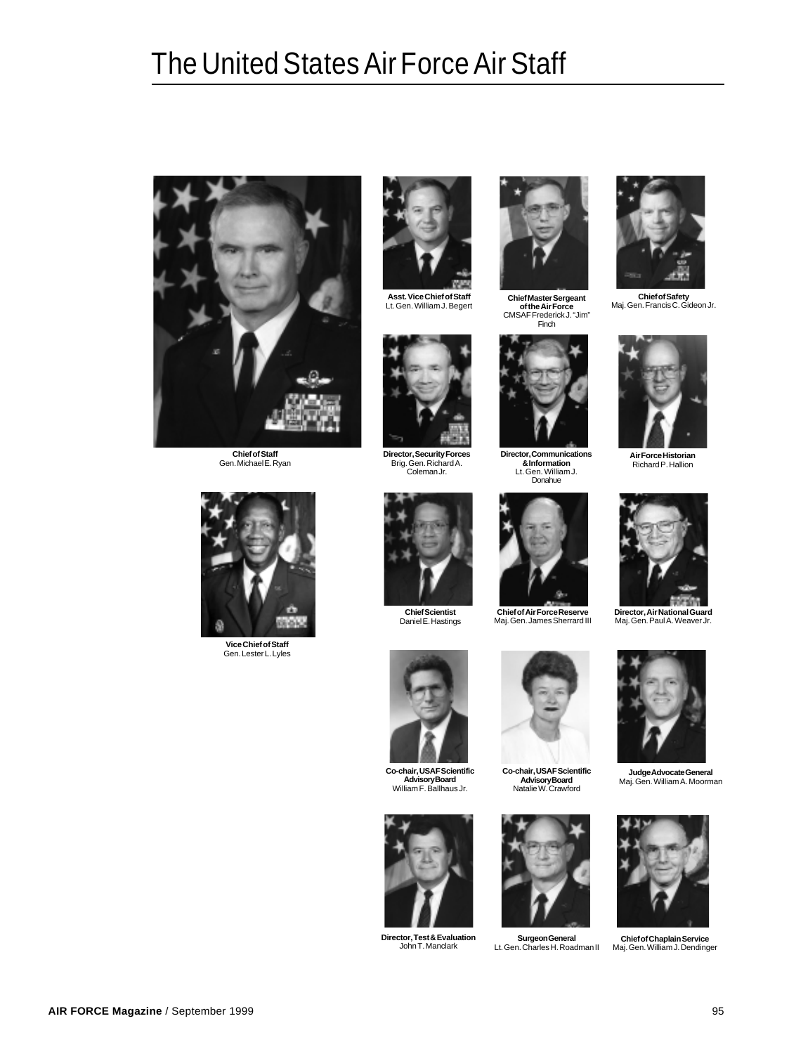### The United States Air Force Air Staff



**Chief of Staff** Gen. Michael E. Ryan



**Asst. Vice Chief of Staff**



**Director, Security Forces** Brig. Gen. Richard A. Coleman Jr.



Lt. Gen. William J. Begert **Chief Master Sergeant of the Air Force** CMSAF Frederick J. "Jim" Finch



**Director, Communications & Information** Lt. Gen. William J. Donahue



**Chief of Air Force Reserve** Maj. Gen. James Sherrard III







**Vice Chief of Staff** Gen. Lester L. Lyles



**Chief Scientist** Daniel E. Hastings



**Co-chair, USAF Scientific Advisory Board** William F. Ballhaus Jr.



**Director, Test & Evaluation**



**Co-chair, USAF Scientific Advisory Board** Natalie W. Crawford



John T. Manclark **Surgeon General** Lt. Gen. Charles H. Roadman II Maj. Gen. William J. Dendinger





**Director, Air National Guard** Maj. Gen. Paul A. Weaver Jr.



**Judge Advocate General** Maj. Gen. William A. Moorman



**Chief of Chaplain Service**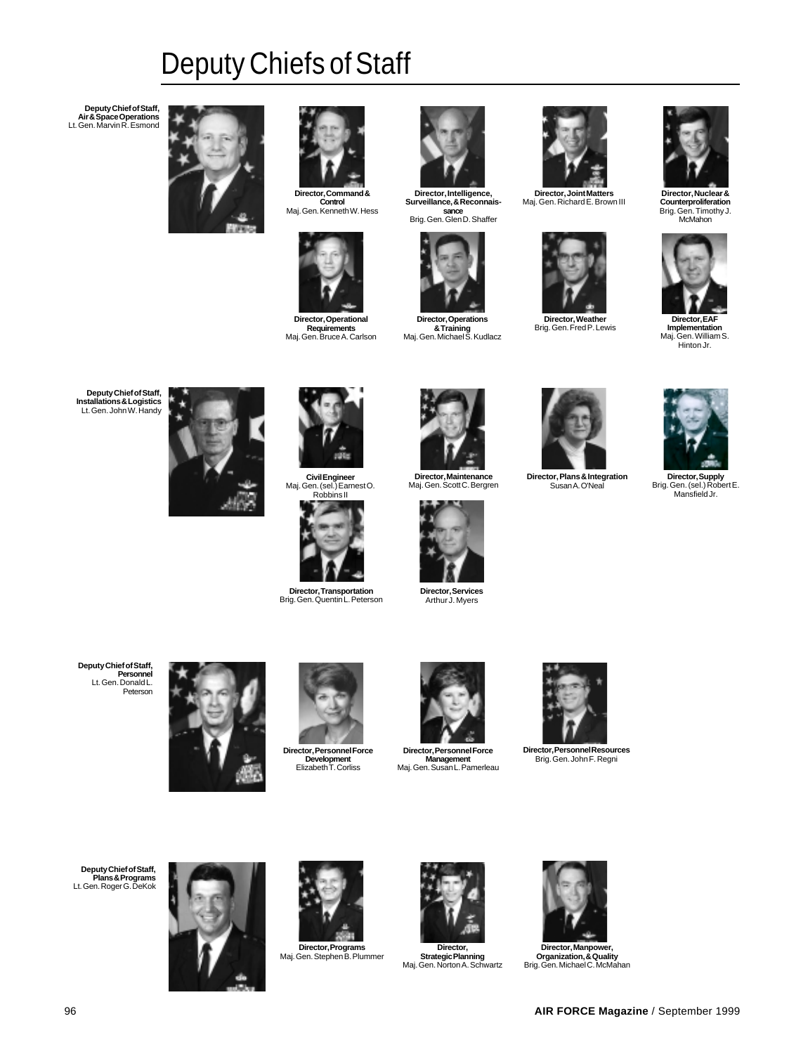## Deputy Chiefs of Staff

**Deputy Chief of Staff, Air & Space Operations** Lt. Gen. Marvin R. Esmond





**Control** Maj. Gen. Kenneth W. Hess



**Director, Operational Requirements** Maj. Gen. Bruce A. Carlson



**Surveillance, & Reconnaissance**<br>Brig. Gen. Glen D. Shaffer



**Director, Operations & Training**<br>Maj. Gen. Michael S. Kudlacz



**Director, Joint Matters** Maj. Gen. Richard E. Brown III



**Director, Weather** Brig. Gen. Fred P. Lewis



**Director, Nuclear & Counterproliferation** Brig. Gen. Timothy J. McMahon



**Implementation** Maj. Gen. William S. Hinton Jr.

**Deputy Chief of Staff, Installations & Logistics** Lt. Gen. John W. Handy



**Civil Engineer** Maj. Gen. (sel.) Earnest O. Robbins II



**Director, Transportation** Brig. Gen. Quentin L. Peterson



**Director, Maintenance** Maj. Gen. Scott C. Bergren



**Director, Services** Arthur J. Myers



**Director, Plans & Integration** Susan A. O'Neal



**Director, Supply** Brig. Gen. (sel.) Robert E. Mansfield Jr.

**Deputy Chief of Staff, Personnel** Lt. Gen. Donald L. Peterson





**Director, Personnel Force Development** Elizabeth T. Corliss



**Director, Personnel Force Management** Maj. Gen. Susan L. Pamerleau



**Director, Personnel Resources** Brig. Gen. John F. Regni

**Deputy Chief of Staff, Plans & Programs** Lt. Gen. Roger G. DeKok



**Director, Programs** Maj. Gen. Stephen B. Plummer



**Strategic Planning** Maj. Gen. Norton A. Schwartz



**Director, Manpower, Organization, & Quality** Brig. Gen. Michael C. McMahan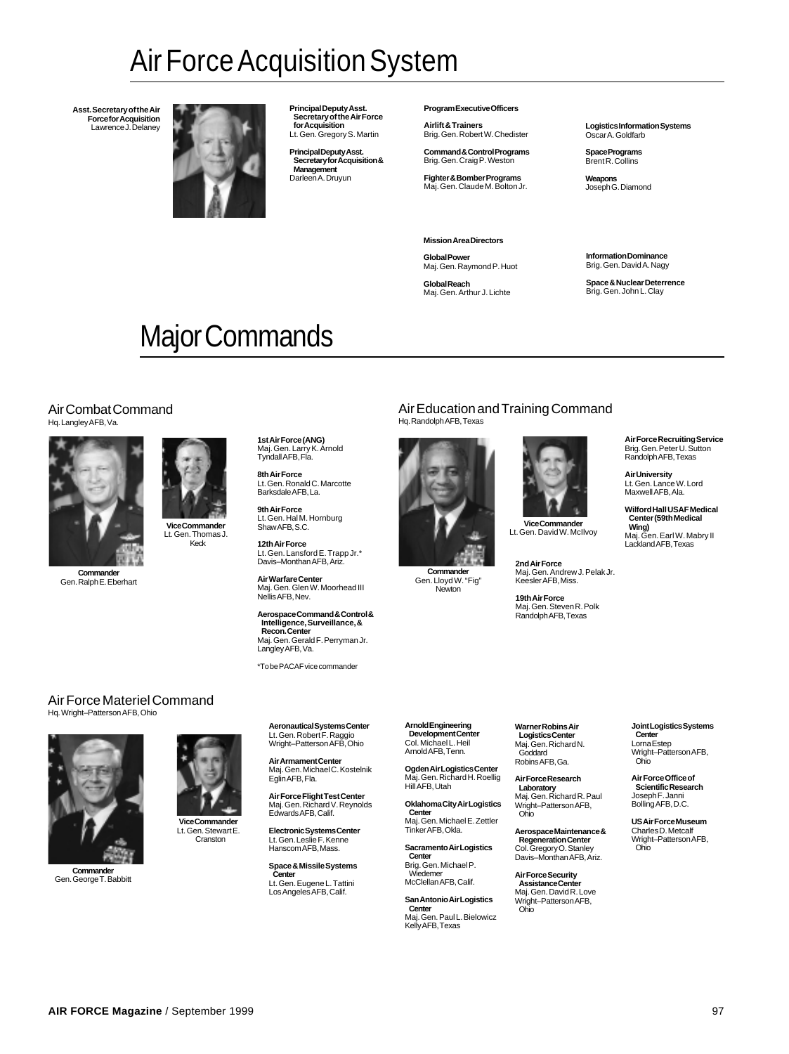### Air Force Acquisition System

**Asst. Secretary of the Air Force for Acquisition** Lawrence J. Delaney



**Principal Deputy Asst. Secretary of the Air Force for Acquisition** Lt. Gen. Gregory S. Martin

**Principal Deputy Asst. Secretary for Acquisition & Management** Darleen A. Druyun

**Program Executive Officers**

**Airlift & Trainers** Brig. Gen. Robert W. Chedister

**Command & Control Programs** Brig. Gen. Craig P. Weston

**Fighter & Bomber Programs** Maj. Gen. Claude M. Bolton Jr.

**Mission Area Directors**

**Global Power** Maj. Gen. Raymond P. Huot

**Global Reach** Maj. Gen. Arthur J. Lichte **Logistics Information Systems** Oscar A. Goldfarb

**Space Programs** Brent R. Collins

**Weapons** Joseph G. Diamond

**Information Dominance** Brig. Gen. David A. Nagy

**Space & Nuclear Deterrence** Brig. Gen. John L. Clay

## Major Commands

#### Air Combat Command Hq. Langley AFB, Va.



Gen. Ralph E. Eberhart

**Vice Commander** Lt. Gen. Thomas J. Keck

**12th Air Force** Lt. Gen. Lansford E. Trapp Jr.\* Davis–Monthan AFB, Ariz.

Lt. Gen. Ronald C. Marcotte Barksdale AFB, La. **9th Air Force** Lt. Gen. Hal M. Hornburg Shaw AFB, S.C.

**1st Air Force (ANG)** Maj. Gen. Larry K. Arnold Tyndall AFB, Fla.

**8th Air Force**

**Air Warfare Center** Maj. Gen. Glen W. Moorhead III Nellis AFB, Nev.

**Aerospace Command & Control & Intelligence, Surveillance, & Recon. Center** Maj. Gen. Gerald F. Perryman Jr. Langley AFB, Va.

\*To be PACAF vice commander

**Aeronautical Systems Center<br>Lt. Gen. Robert F. Raggio<br>Wright–Patterson AFB, Ohio** 

**Air Armament Center** Maj. Gen. Michael C. Kostelnik

Eglin AFB, Fla.

### Air Education and Training Command

Hq. Randolph AFB, Texas



**Commander** Gen. Lloyd W. "Fig" .<br>wton

**Vice Commander** Lt. Gen. David W. McIlvoy

> **2nd Air Force** Maj. Gen. Andrew J. Pelak Jr. Keesler AFB, Miss.

**19th Air Force**<br>Maj. Gen. Steven R. Polk<br>Randolph AFB, Texas

#### **Air Force Recruiting Service** Brig. Gen. Peter U. Sutton Randolph AFB, Texas

**Air University** Lt. Gen. Lance W. Lord Maxwell AFB, Ala.

**Wilford Hall USAF Medical Center (59th Medical Wing)** Maj. Gen. Earl W. Mabry II Lackland AFB, Texas

#### Air Force Materiel Command Hq. Wright–Patterson AFB, Ohio



**Commander** Gen. George T. Babbitt

**Vice Commander** Lt. Gen. Stewart E. **Cranston** 

> **Space & Missile Systems Center** Lt. Gen. Eugene L. Tattini Los Angeles AFB, Calif.

**Arnold Engineering Development Center** Col. Michael L. Heil Arnold AFB, Tenn.

**Ogden Air Logistics Center** Maj. Gen. Richard H. Roellig Hill AFB, Utah

**Oklahoma City Air Logistics Center** Maj. Gen. Michael E. Zettler Tinker AFB, Okla.

**Sacramento Air Logistics Center** Brig. Gen. Michael P.

Wiedemer McClellan AFB, Calif. **San Antonio Air Logistics**

**Center** Maj. Gen. Paul L. Bielowicz Kelly AFB, Texas

**Warner Robins Air Logistics Center** Maj. Gen. Richard N. **Goddard** Robins AFB, Ga.

**Air Force Research Laboratory** Maj. Gen. Richard R. Paul

Wright–Patterson AFB, Ohio **Aerospace Maintenance &**

**Regeneration Center** Col. Gregory O. Stanley Davis–Monthan AFB, Ariz.

**Air Force Security Assistance Center** Maj. Gen. David R. Love Wright–Patterson AFB, Ohio

**Joint Logistics Systems Center** Lorna Estep Wright–Patterson AFB, Ohio

**Air Force Office of Scientific Research** Joseph F. Janni Bolling AFB, D.C.

**US Air Force Museum** Charles D. Metcalf Wright–Patterson AFB, Ohio

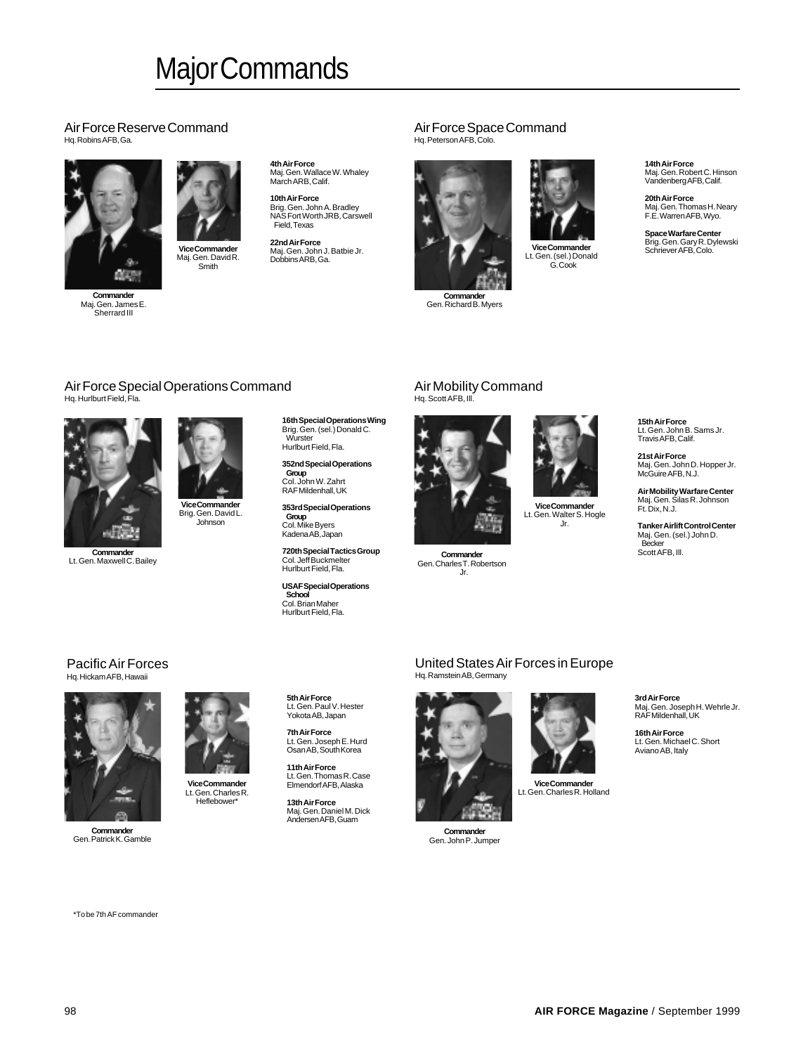### Major Commands

#### Air Force Reserve Command Hq. Robins AFB, Ga.



Maj. Gen. James E. Sherrard III

**Vice Commander**

Maj. Gen. David R. Smith

**4th Air Force** Maj. Gen. Wallace W. Whaley March ARB, Calif.

**10th Air Force**<br>Brig. Gen. John A. Bradley<br>NAS Fort Worth JRB, Carswell Field, Texas

**22nd Air Force** Maj. Gen. John J. Batbie Jr. Dobbins ARB, Ga.

#### Air Force Space Command Hq. Peterson AFB, Colo.



**Commander** Gen. Richard B. Myers



**Vice Commander** Lt. Gen. (sel.) Donald G. Cook

**14th Air Force** Maj. Gen. Robert C. Hinson Vandenberg AFB, Calif.

**20th Air Force** Maj. Gen. Thomas H. Neary F.E. Warren AFB, Wyo.

**Space Warfare Center** Brig. Gen. Gary R. Dylewski Schriever AFB, Colo.

#### Air Force Special Operations Command Hq. Hurlburt Field, Fla.



**Commander** Lt. Gen. Maxwell C. Bailey

**Vice Commander** Brig. Gen. David L. Johnson

**Vice Commander** Lt. Gen. Charles R. Heflebower\*

**16th Special Operations Wing** Brig. Gen. (sel.) Donald C. Wurster Hurlburt Field, Fla.

**352nd Special Operations Group** Col. John W. Zahrt RAF Mildenhall, UK

**353rd Special Operations Group** Col. Mike Byers Kadena AB, Japan

**720th Special Tactics Group** Col. Jeff Buckmelter Hurlburt Field, Fla.

**USAF Special Operations School** Col. Brian Maher Hurlburt Field, Fla.

#### Air Mobility Command Hq. Scott AFB, Ill.



**Commander**

Gen. Charles T. Robertson Jr.

**Vice Commander** Lt. Gen. Walter S. Hogle Jr.

**Tanker Airlift Control Center** Maj. Gen. (sel.) John D. Becker Scott AFB, III.

**15th Air Force** Lt. Gen. John B. Sams Jr. Travis AFB, Calif. **21st Air Force** Maj. Gen. John D. Hopper Jr. McGuire AFB, N.J. **Air Mobility Warfare Center** Maj. Gen. Silas R. Johnson

Ft. Dix, N.J.

#### Pacific Air Forces Hq. Hickam AFB, Hawaii



**Commander** Gen. Patrick K. Gamble

**5th Air Force** Lt. Gen. Paul V. Hester Yokota AB, Japan

**7th Air Force** Lt. Gen. Joseph E. Hurd Osan AB, South Korea

**11th Air Force** Lt. Gen. Thomas R. Case Elmendorf AFB, Alaska

**13th Air Force** Maj. Gen. Daniel M. Dick Andersen AFB, Guam

#### United States Air Forces in Europe Hq. Ramstein AB, Germany



**Commander** Gen. John P. Jumper

**Vice Commander** Lt. Gen. Charles R. Holland **3rd Air Force** Maj. Gen. Joseph H. Wehrle Jr. RAF Mildenhall, UK

**16th Air Force** Lt. Gen. Michael C. Short Aviano AB, Italy

\*To be 7th AF commander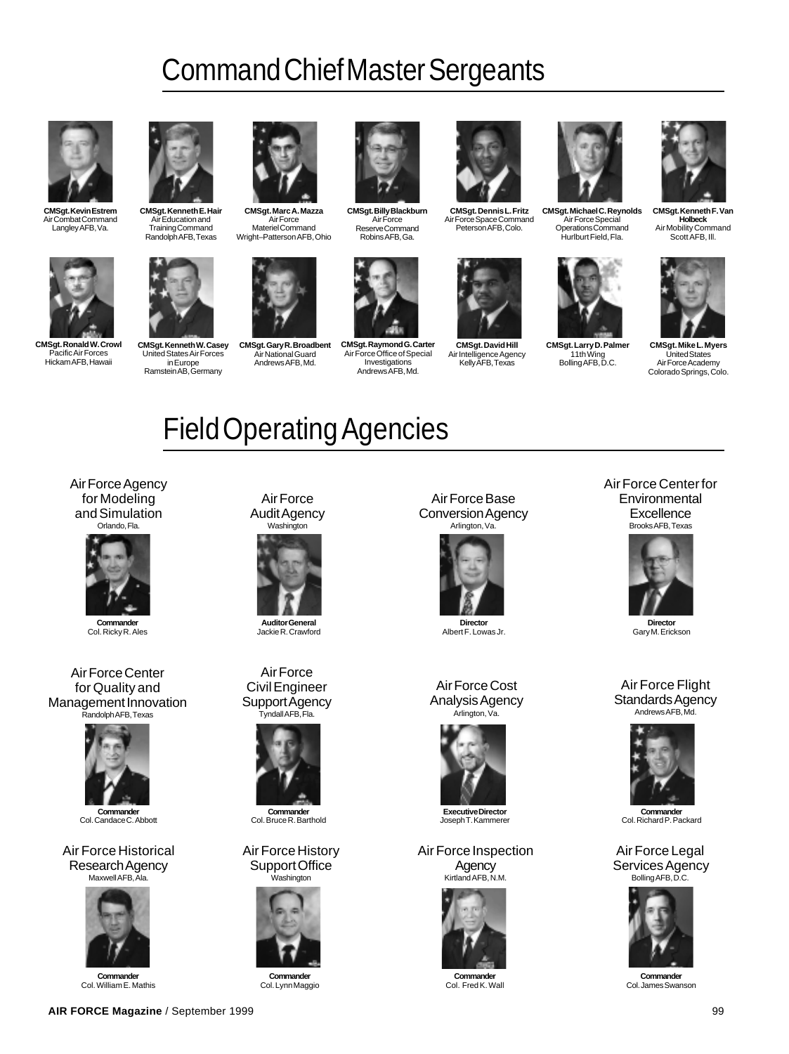### Command Chief Master Sergeants



**CMSgt. Kevin Estrem** Air Combat Command Langley AFB, Va.



**CMSgt. Ronald W. Crowl** Pacific Air Forces Hickam AFB, Hawaii



**CMSgt. Kenneth E. Hair** Air Education and Training Command Randolph AFB, Texas



**CMSgt. Kenneth W. Casey** United States Air Forces in Europe Ramstein AB, Germany



**CMSgt. Marc A. Mazza** Air Force Materiel Command Wright–Patterson AFB, Ohio



**CMSgt. Gary R. Broadbent** Air National Guard Andrews AFB, Md.



**CMSgt. Billy Blackburn** Air Force Reserve Command Robins AFB, Ga.



**CMSgt. Raymond G. Carter** Air Force Office of Special Investigations Andrews AFB, Md.



**CMSgt. Dennis L. Fritz** Air Force Space Command Peterson AFB, Colo.



**CMSgt. David Hill** Air Intelligence Agency Kelly AFB, Texas **CMSgt. Larry D. Palmer**



Air Force Special Operations Command Hurlburt Field, Fla.

11th Wing Bolling AFB, D.C.

**CMSgt. Kenneth F. Van Holbeck** Air Mobility Command Scott AFB, Ill.



**CMSgt. Mike L. Myers** United States Air Force Academy Colorado Springs, Colo.

## Field Operating Agencies

Air Force Agency for Modeling and Simulation Orlando, Fla.



**Commande** Col. Ricky R. Ales

Air Force Center for Quality and Management Innovation Randolph AFB, Texas



**Commander** Col. Candace C. Abbott

Air Force Historical Research Agency Maxwell AFB, Ala.



**Commander** Col. William E. Mathis

Air Force Audit Agency Washington



**Auditor General** Jackie R. Crawford

Air Force Civil Engineer Support Agency Tyndall AFB, Fla.



**Commander** Col. Bruce R. Barthold

Air Force History Support Office Washington



**Commander** Col. Lynn Maggio

Air Force Base Conversion Agency Arlington, Va.



**Director** Albert F. Lowas Jr.

Air Force Cost Analysis Agency Arlington, Va.



**Executive Director** Joseph T. Kammerer

Air Force Inspection **Agency** Kirtland AFB, N.M.



**Commander** Col. Fred K. Wall

Air Force Center for **Environmental Excellence** Brooks AFB, Texas



Gary M. Erickson

#### Air Force Flight Standards Agency Andrews AFB, Md.



**Commander** Col. Richard P. Packard

Air Force Legal Services Agency Bolling AFB, D.C.



**Commander** Col. James Swanson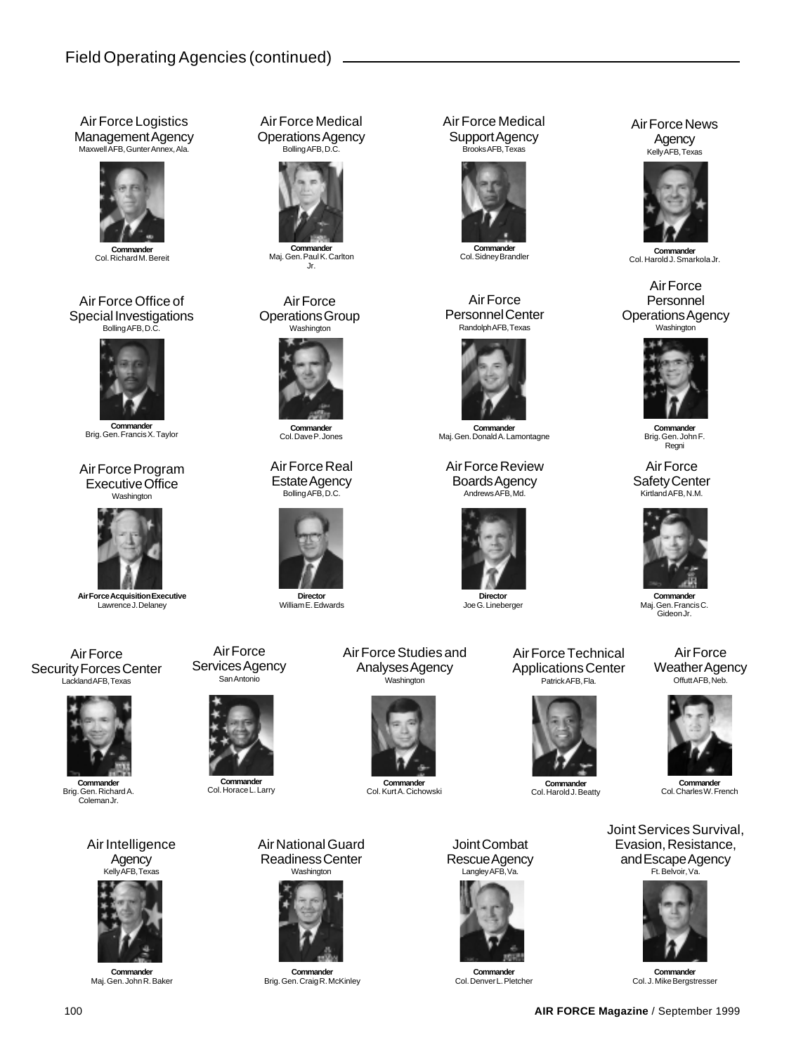### Field Operating Agencies (continued)

Air Force Logistics Management Agency Maxwell AFB, Gunter Annex, Ala.



**Commander** Col. Richard M. Bereit

#### Air Force Office of Special Investigations Bolling AFB, D.C.



**Commander** Brig. Gen. Francis X. Taylor

Air Force Program Executive Office Washington



**Air Force Acquisition Executive** Lawrence J. Delaney

Air Force Security Forces Center Lackland AFB, Texas



**Commander** Brig. Gen. Richard A. Coleman Jr.

Air Intelligence Agency



**Commander** Maj. Gen. John R. Baker

Air Force Medical Operations Agency Bolling AFB, D.C.



Maj. Gen. Paul K. Carlton Jr.

#### Air Force Operations Group Washington



Col. Dave P. Jones

Air Force Real Estate Agency Bolling AFB, D.C.



**Director** William E. Edwards



**Commander** Col. Horace L. Larry

Air Force

Air National Guard Readiness Center Washington



**Commander** Brig. Gen. Craig R. McKinley

Air Force Medical Support Agency Brooks AFB, Texas



#### Air Force Personnel Center Randolph AFB, Texas



**Commander** Maj. Gen. Donald A. Lamontagne

Air Force Review Boards Agency Andrews AFB, Md.



**Director** Joe G. Lineberger

Air Force Technical Applications Center Patrick AFB, Fla.



**Commander** Col. Harold J. Beatty

Joint Combat Rescue Agency Langley AFB, Va.

**Commander** Col. Kurt A. Cichowski

Air Force Studies and Analyses Agency Washington



**Commander** Col. Denver L. Pletcher

#### Air Force News Agency Kelly AFB, Texas



Col. Sidney Brandler **Commander** Col. Harold J. Smarkola Jr.

#### Air Force Personnel Operations Agency Washington<sup>'</sup>



**Commander** Brig. Gen. John F. Regni

Air Force Safety Center Kirtland AFB, N.M.



**Commander** Maj. Gen. Francis C. Gideon Jr.

Air Force Weather Agency Offutt AFB, Neb.



**Commander** Col. Charles W. French

Joint Services Survival, Evasion, Resistance, and Escape Agency Ft. Belvoir, Va.



**Commander** Col. J. Mike Bergstresser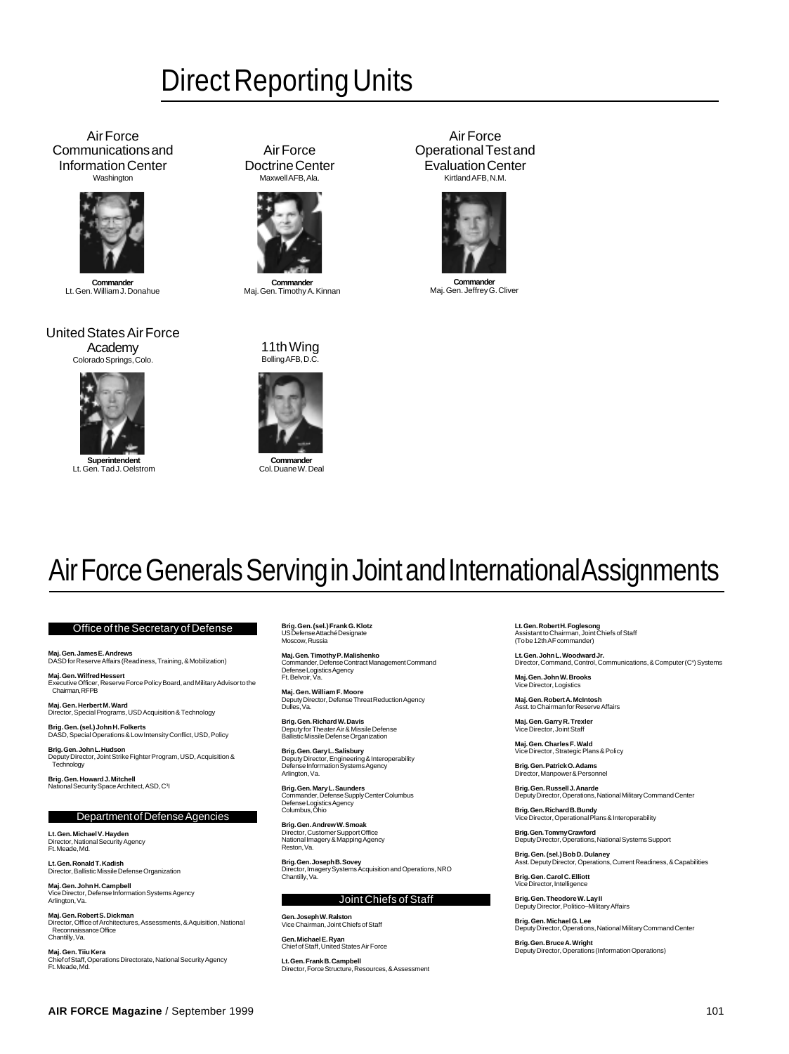### Direct Reporting Units

Air Force Communications and Information Center Washington



**Commander** Lt. Gen. William J. Donahue

United States Air Force Academy Colorado Springs, Colo.



**Supe** Lt. Gen. Tad J. Oelstrom

Air Force Doctrine Center Maxwell AFB, Ala.



**Commander** Maj. Gen. Timothy A. Kinnan

11th Wing Bolling AFB, D.C.

**Commander** Col. Duane W. Deal

Air Force Operational Test and Evaluation Center Kirtland AFB, N.M.



**Commander** Maj. Gen. Jeffrey G. Cliver

### Air Force Generals Serving in Joint and International Assignments

#### Office of the Secretary of Defense

**Maj. Gen. James E. Andrews** DASD for Reserve Affairs (Readiness, Training, & Mobilization)

**Maj. Gen. Wilfred Hessert** Executive Officer, Reserve Force Policy Board, and Military Advisor to the Chairman, RFPB

**Maj. Gen. Herbert M. Ward** Director, Special Programs, USD Acquisition & Technology

**Brig. Gen. (sel.) John H. Folkerts** DASD, Special Operations & Low Intensity Conflict, USD, Policy

**Brig. Gen. John L. Hudson** Deputy Director, Joint Strike Fighter Program, USD, Acquisition & **Technology** 

**Brig. Gen. Howard J. Mitchell**<br>National Security Space Architect, ASD, C<sup>3</sup>l

#### Department of Defense Agencies

**Lt. Gen. Michael V. Hayden** Director, National Security Agency Ft. Meade, Md.

**Lt. Gen. Ronald T. Kadish** Director, Ballistic Missile Defense Organization

**Maj. Gen. John H. Campbell** Vice Director, Defense Information Systems Agency Arlington, Va.

**Maj. Gen. Robert S. Dickman**<br>Director, Office of Architectures, Assessments, & Aquisition, National<br>- Reconnaissance Office Chantilly, Va.

**Maj. Gen. Tiiu Kera** Chief of Staff, Operations Directorate, National Security Agency Ft. Meade, Md.

**Brig. Gen. (sel.) Frank G. Klotz** US Defense Attaché Designate Moscow, Russia

**Maj. Gen. Timothy P. Malishenko** Commander, Defense Contract Management Command Defense Logistics Agency Ft. Belvoir, Va.

**Maj. Gen. William F. Moore** Deputy Director, Defense Threat Reduction Agency Dulles, Va.

**Brig. Gen. Richard W. Davis** Deputy for Theater Air & Missile Defense Ballistic Missile Defense Organization

**Brig. Gen. Gary L. Salisbury**<br>Deputy Director, Engineering & Interoperability<br>Defense Information Systems Agency Arlington, Va.

**Brig. Gen. Mary L. Saunders** Commander, Defense Supply Center Columbus Defense Logistics Agency Columbus, Ohio

**Brig. Gen. Andrew W. Smoak**<br>Director, Customer Support Office<br>National Imagery & Mapping Agency<br>Reston, Va.

**Brig. Gen. Joseph B. Sovey**<br>Director, Imagery Systems Acquisition and Operations, NRO<br>Chantilly, Va.

#### Joint Chiefs of Staff

**Gen. Joseph W. Ralston** Vice Chairman, Joint Chiefs of Staff **Gen. Michael E. Ryan** Chief of Staff, United States Air Force

**Lt. Gen. Frank B. Campbell** Director, Force Structure, Resources, & Assessment **Lt. Gen. Robert H. Foglesong** Assistant to Chairman, Joint Chiefs of Staff

(To be 12th AF commander)

**Lt. Gen. John L. Woodward Jr.** Director, Command, Control, Communications, & Computer (C<sup>4</sup>) Systems

**Maj. Gen. John W. Brooks** Way. Con. Commercial

**Maj. Gen. Robert A. McIntosh** Asst. to Chairman for Reserve Affairs

**Maj. Gen. Garry R. Trexler** Vice Director, Joint Staff

**Maj. Gen. Charles F. Wald** Vice Director, Strategic Plans & Policy

**Brig. Gen. Patrick O. Adams** Director, Manpower & Personnel

**Brig. Gen. Russell J. Anarde** Deputy Director, Operations, National Military Command Center

**Brig. Gen. Richard B. Bundy** Vice Director, Operational Plans & Interoperability

**Brig. Gen. Tommy Crawford** Deputy Director, Operations, National Systems Support

**Brig. Gen. (sel.) Bob D. Dulaney** Asst. Deputy Director, Operations, Current Readiness, & Capabilities

**Brig. Gen. Carol C. Elliott** Director, Intelligence

**Brig. Gen. Theodore W. Lay II** Deputy Director, Politico–Military Affairs

**Brig. Gen. Michael G. Lee** Deputy Director, Operations, National Military Command Center

**Brig. Gen. Bruce A. Wright** Deputy Director, Operations (Information Operations)